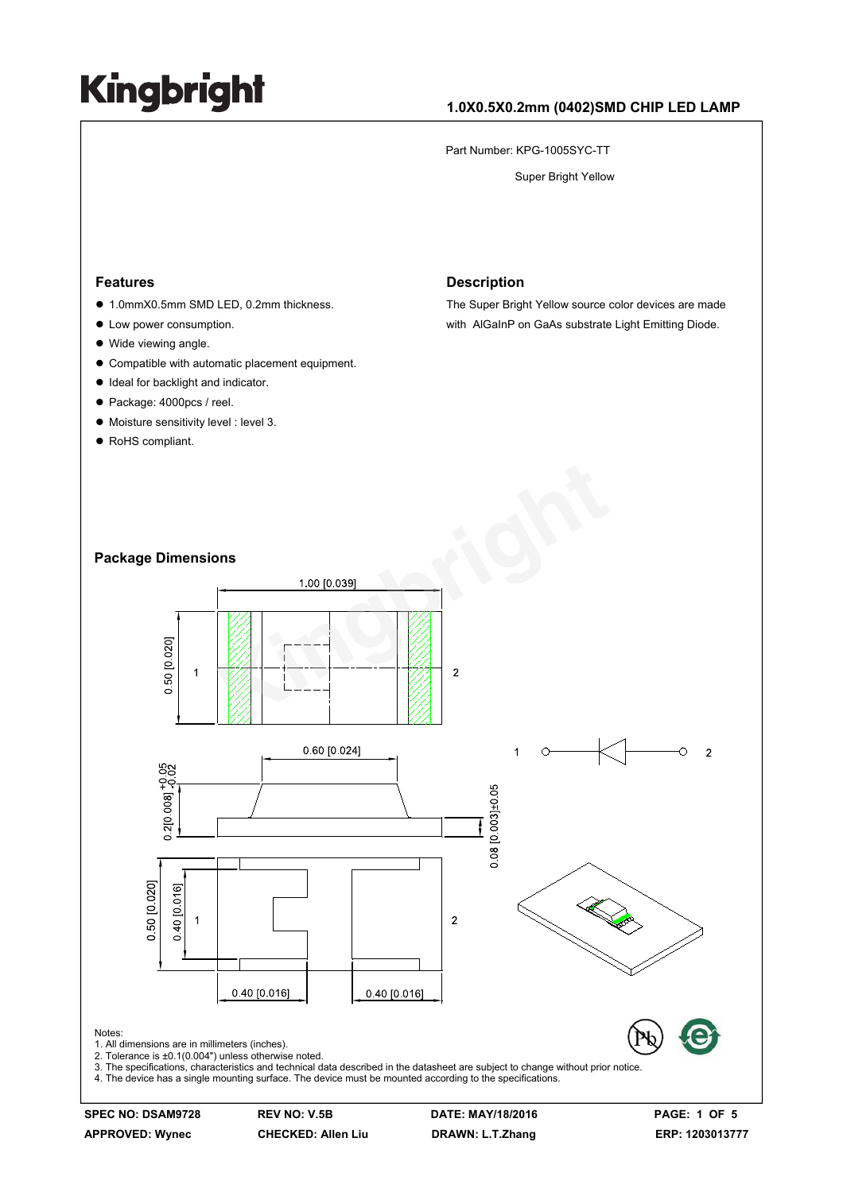#### **1.0X0.5X0.2mm (0402)SMD CHIP LED LAMP**

Part Number: KPG-1005SYC-TT

Super Bright Yellow

#### **Features**

- 1.0mmX0.5mm SMD LED, 0.2mm thickness.
- Low power consumption.
- Wide viewing angle.
- $\bullet$  Compatible with automatic placement equipment.
- $\bullet$  Ideal for backlight and indicator.
- Package: 4000pcs / reel.
- $\bullet$  Moisture sensitivity level : level 3.
- RoHS compliant.

#### **Description**

The Super Bright Yellow source color devices are made with AlGaInP on GaAs substrate Light Emitting Diode.

#### **Package Dimensions**



**SPEC NO: DSAM9728 REV NO: V.5B DATE: MAY/18/2016 PAGE: 1 OF 5 APPROVED: Wynec CHECKED: Allen Liu DRAWN: L.T.Zhang ERP: 1203013777**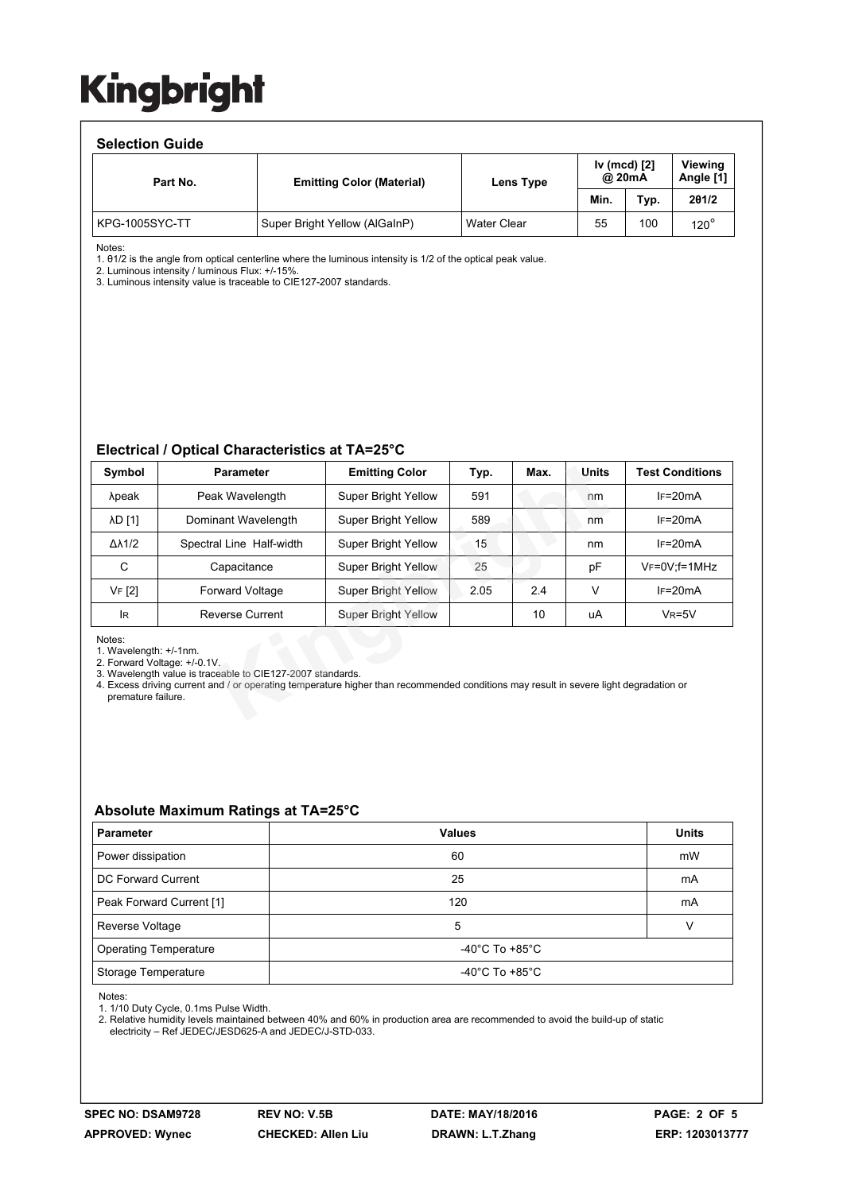#### **Selection Guide**

| Part No.       | <b>Emitting Color (Material)</b> | Lens Type          | Iv (mcd) [2]<br>@ 20mA |      | Viewina<br>Angle [1] |
|----------------|----------------------------------|--------------------|------------------------|------|----------------------|
|                |                                  |                    | Min.                   | Typ. | 201/2                |
| KPG-1005SYC-TT | Super Bright Yellow (AlGaInP)    | <b>Water Clear</b> | 55                     | 100  | 120 $^\circ$         |

Notes:

1. θ1/2 is the angle from optical centerline where the luminous intensity is 1/2 of the optical peak value.

2. Luminous intensity / luminous Flux: +/-15%. 3. Luminous intensity value is traceable to CIE127-2007 standards.

#### **Electrical / Optical Characteristics at TA=25°C**

| Symbol                                                                                                                                                                                                                                                                                        | <b>Parameter</b>         | <b>Emitting Color</b>      | Typ. | Max. | Units | <b>Test Conditions</b> |  |  |  |
|-----------------------------------------------------------------------------------------------------------------------------------------------------------------------------------------------------------------------------------------------------------------------------------------------|--------------------------|----------------------------|------|------|-------|------------------------|--|--|--|
| λpeak                                                                                                                                                                                                                                                                                         | Peak Wavelength          | <b>Super Bright Yellow</b> | 591  |      | nm    | $IF=20mA$              |  |  |  |
| λD [1]                                                                                                                                                                                                                                                                                        | Dominant Wavelength      | <b>Super Bright Yellow</b> | 589  |      | nm    | $IF=20mA$              |  |  |  |
| $\Delta\lambda$ 1/2                                                                                                                                                                                                                                                                           | Spectral Line Half-width | <b>Super Bright Yellow</b> | 15   |      | nm    | $IF=20mA$              |  |  |  |
| C                                                                                                                                                                                                                                                                                             | Capacitance              | <b>Super Bright Yellow</b> | 25   |      | pF    | $V_F = 0V$ : f = 1MHz  |  |  |  |
| VF [2]                                                                                                                                                                                                                                                                                        | <b>Forward Voltage</b>   | <b>Super Bright Yellow</b> | 2.05 | 2.4  | V     | $IF=20mA$              |  |  |  |
| IR.                                                                                                                                                                                                                                                                                           | <b>Reverse Current</b>   | <b>Super Bright Yellow</b> |      | 10   | uA    | $V_R = 5V$             |  |  |  |
| Notes:<br>1. Wavelength: +/-1nm.<br>2. Forward Voltage: +/-0.1V.<br>3. Wavelength value is traceable to CIE127-2007 standards.<br>4. Excess driving current and / or operating temperature higher than recommended conditions may result in severe light degradation or<br>premature failure. |                          |                            |      |      |       |                        |  |  |  |

#### **Absolute Maximum Ratings at TA=25°C**

| <b>Parameter</b>             | <b>Values</b>                        | <b>Units</b> |  |  |
|------------------------------|--------------------------------------|--------------|--|--|
| Power dissipation            | 60                                   | mW           |  |  |
| DC Forward Current           | 25                                   | mA           |  |  |
| Peak Forward Current [1]     | 120                                  | mA           |  |  |
| Reverse Voltage              | 5                                    |              |  |  |
| <b>Operating Temperature</b> | -40 $^{\circ}$ C To +85 $^{\circ}$ C |              |  |  |
| Storage Temperature          | -40 $^{\circ}$ C To +85 $^{\circ}$ C |              |  |  |

Notes:

1. 1/10 Duty Cycle, 0.1ms Pulse Width.

2. Relative humidity levels maintained between 40% and 60% in production area are recommended to avoid the build-up of static electricity – Ref JEDEC/JESD625-A and JEDEC/J-STD-033.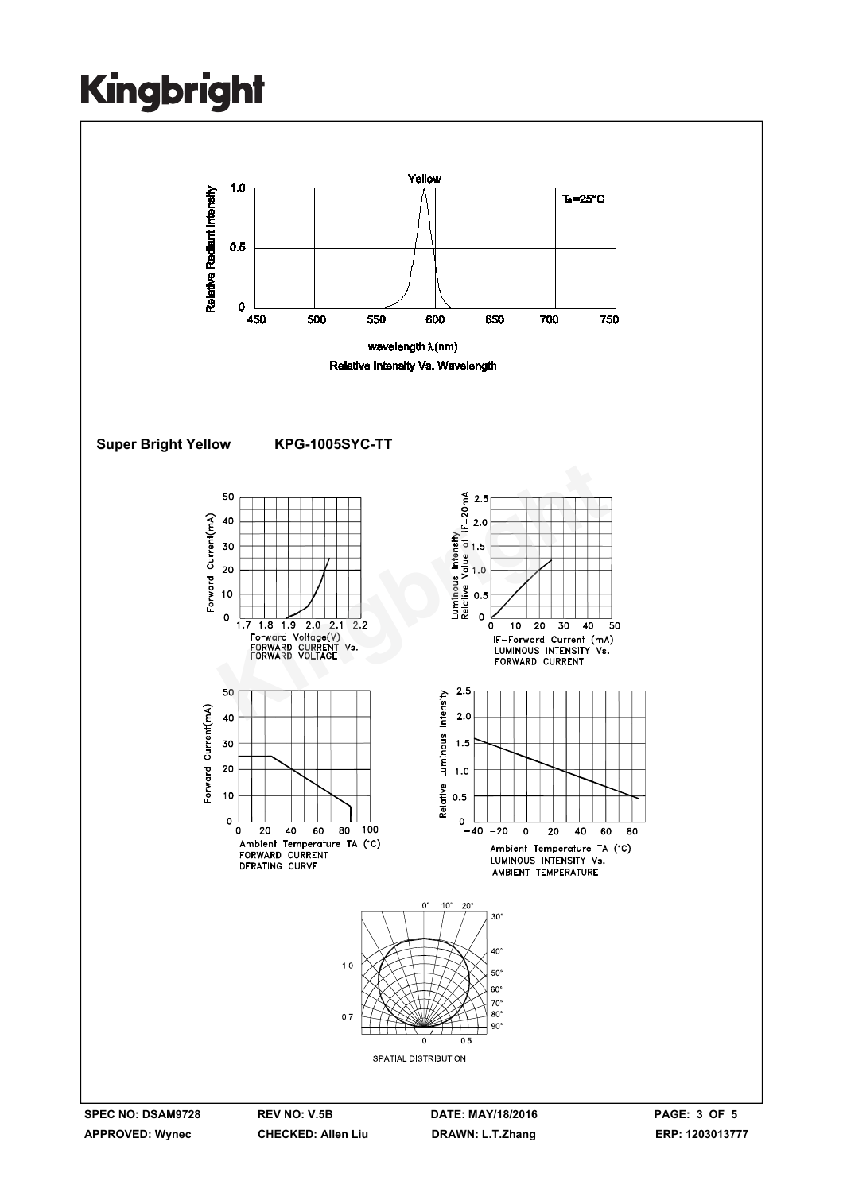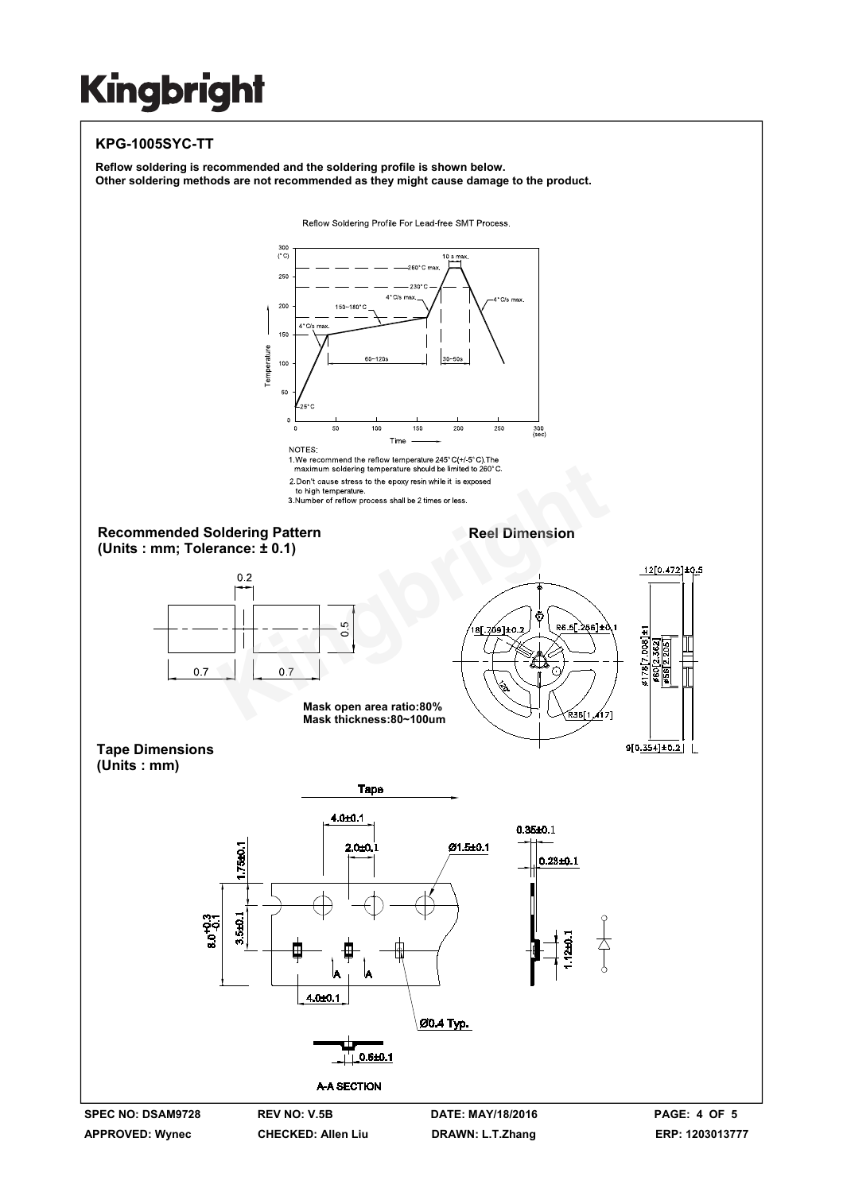#### **KPG-1005SYC-TT**

**Reflow soldering is recommended and the soldering profile is shown below. Other soldering methods are not recommended as they might cause damage to the product.**